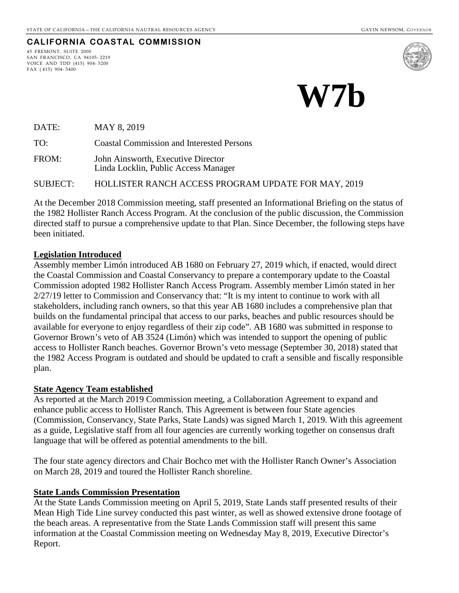# **CALIFORNIA COASTAL COMMISSION**

45 FREMONT, SUITE 2000 SAN FRANCISCO, CA 94105- 2219 VOICE AND TDD (415) 904- 5200 FAX ( 415) 904- 5400



**W7b**

DATE: MAY 8, 2019

TO: Coastal Commission and Interested Persons

FROM: John Ainsworth, Executive Director Linda Locklin, Public Access Manager

SUBJECT: HOLLISTER RANCH ACCESS PROGRAM UPDATE FOR MAY, 2019

At the December 2018 Commission meeting, staff presented an Informational Briefing on the status of the 1982 Hollister Ranch Access Program. At the conclusion of the public discussion, the Commission directed staff to pursue a comprehensive update to that Plan. Since December, the following steps have been initiated.

#### **Legislation Introduced**

Assembly member Limón introduced AB 1680 on February 27, 2019 which, if enacted, would direct the Coastal Commission and Coastal Conservancy to prepare a contemporary update to the Coastal Commission adopted 1982 Hollister Ranch Access Program. Assembly member Limón stated in her 2/27/19 letter to Commission and Conservancy that: "It is my intent to continue to work with all stakeholders, including ranch owners, so that this year AB 1680 includes a comprehensive plan that builds on the fundamental principal that access to our parks, beaches and public resources should be available for everyone to enjoy regardless of their zip code". AB 1680 was submitted in response to Governor Brown's veto of AB 3524 (Limón) which was intended to support the opening of public access to Hollister Ranch beaches. Governor Brown's veto message (September 30, 2018) stated that the 1982 Access Program is outdated and should be updated to craft a sensible and fiscally responsible plan.

#### **State Agency Team established**

As reported at the March 2019 Commission meeting, a Collaboration Agreement to expand and enhance public access to Hollister Ranch. This Agreement is between four State agencies (Commission, Conservancy, State Parks, State Lands) was signed March 1, 2019. With this agreement as a guide, Legislative staff from all four agencies are currently working together on consensus draft language that will be offered as potential amendments to the bill.

The four state agency directors and Chair Bochco met with the Hollister Ranch Owner's Association on March 28, 2019 and toured the Hollister Ranch shoreline.

#### **State Lands Commission Presentation**

At the State Lands Commission meeting on April 5, 2019, State Lands staff presented results of their Mean High Tide Line survey conducted this past winter, as well as showed extensive drone footage of the beach areas. A representative from the State Lands Commission staff will present this same information at the Coastal Commission meeting on Wednesday May 8, 2019, Executive Director's Report.